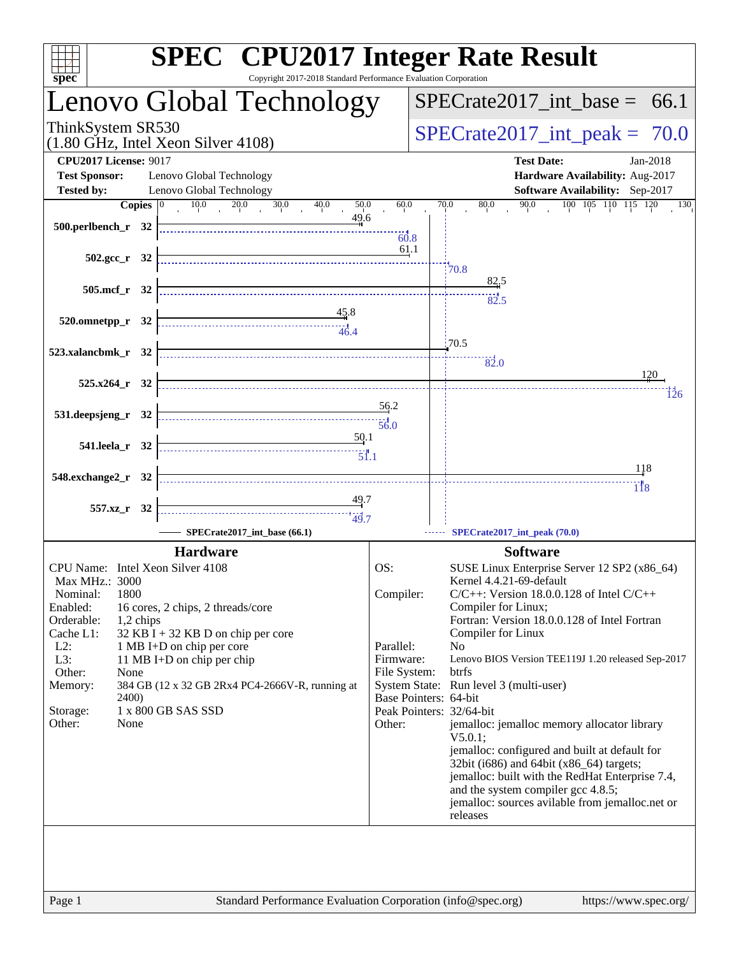| $s\overline{p}\overline{e}\overline{c}$ | <b>SPEC<sup>®</sup></b> CPU2017 Integer Rate Result<br>Copyright 2017-2018 Standard Performance Evaluation Corporation                                                                                                                                                                                                                                                                                                                                                                                             |              |                                                                                             |
|-----------------------------------------|--------------------------------------------------------------------------------------------------------------------------------------------------------------------------------------------------------------------------------------------------------------------------------------------------------------------------------------------------------------------------------------------------------------------------------------------------------------------------------------------------------------------|--------------|---------------------------------------------------------------------------------------------|
|                                         | Lenovo Global Technology                                                                                                                                                                                                                                                                                                                                                                                                                                                                                           |              | $SPECTate2017\_int\_base = 66.1$                                                            |
| ThinkSystem SR530                       | $(1.80$ GHz, Intel Xeon Silver 4108)                                                                                                                                                                                                                                                                                                                                                                                                                                                                               |              | $SPECTate2017\_int\_peak = 70.0$                                                            |
| <b>CPU2017 License: 9017</b>            |                                                                                                                                                                                                                                                                                                                                                                                                                                                                                                                    |              | <b>Test Date:</b><br>Jan-2018                                                               |
| <b>Test Sponsor:</b>                    | Lenovo Global Technology                                                                                                                                                                                                                                                                                                                                                                                                                                                                                           |              | Hardware Availability: Aug-2017                                                             |
| <b>Tested by:</b>                       | Lenovo Global Technology                                                                                                                                                                                                                                                                                                                                                                                                                                                                                           |              | <b>Software Availability:</b> Sep-2017                                                      |
| Copies $ 0 $<br>500.perlbench_r 32      | 10.0<br>$\frac{20.0}{20}$<br>30.0<br>40.0<br>50.0<br>49.6                                                                                                                                                                                                                                                                                                                                                                                                                                                          | 60.0<br>60.8 | 90.0<br>100 105 110 115 120<br>70.0<br>80.0<br>130                                          |
| $502.\text{sec}_r$ 32                   |                                                                                                                                                                                                                                                                                                                                                                                                                                                                                                                    | <u>61</u> .1 | 70.8                                                                                        |
| 505.mcf_r 32                            |                                                                                                                                                                                                                                                                                                                                                                                                                                                                                                                    |              | 82.5                                                                                        |
|                                         |                                                                                                                                                                                                                                                                                                                                                                                                                                                                                                                    |              | 82.5                                                                                        |
| $520.0$ mnetpp_r $32$                   | $\begin{array}{c c}\n & 45.8 \\  & 46.4 \\  \hline\n & 46.4\n\end{array}$                                                                                                                                                                                                                                                                                                                                                                                                                                          |              |                                                                                             |
|                                         |                                                                                                                                                                                                                                                                                                                                                                                                                                                                                                                    |              | 70.5                                                                                        |
| 523.xalancbmk_r 32                      |                                                                                                                                                                                                                                                                                                                                                                                                                                                                                                                    |              |                                                                                             |
|                                         |                                                                                                                                                                                                                                                                                                                                                                                                                                                                                                                    |              | $\frac{1}{82.0}$<br>120                                                                     |
| $525.x264$ $r$ 32                       |                                                                                                                                                                                                                                                                                                                                                                                                                                                                                                                    |              |                                                                                             |
|                                         |                                                                                                                                                                                                                                                                                                                                                                                                                                                                                                                    | 56.2         | 126                                                                                         |
| 531.deepsjeng_r 32                      |                                                                                                                                                                                                                                                                                                                                                                                                                                                                                                                    |              |                                                                                             |
|                                         | 50.1                                                                                                                                                                                                                                                                                                                                                                                                                                                                                                               |              |                                                                                             |
| 541.leela_r 32                          | $\begin{array}{c}\n\vdots \\ \hline\n\vdots \\ \hline\n\vdots \\ \hline\n\vdots \\ \hline\n\vdots \\ \hline\n\vdots \\ \hline\n\vdots \\ \hline\n\vdots \\ \hline\n\vdots \\ \hline\n\vdots \\ \hline\n\vdots \\ \hline\n\vdots \\ \hline\n\vdots \\ \hline\n\vdots \\ \hline\n\vdots \\ \hline\n\vdots \\ \hline\n\vdots \\ \hline\n\vdots \\ \hline\n\vdots \\ \hline\n\vdots \\ \hline\n\vdots \\ \hline\n\vdots \\ \hline\n\vdots \\ \hline\n\vdots \\ \hline\n\vdots \\ \hline\n\vdots \\ \hline\n\vdots \\ $ |              |                                                                                             |
|                                         |                                                                                                                                                                                                                                                                                                                                                                                                                                                                                                                    |              | 118                                                                                         |
| 548.exchange2_r 32                      |                                                                                                                                                                                                                                                                                                                                                                                                                                                                                                                    |              | 1 İ 8                                                                                       |
|                                         |                                                                                                                                                                                                                                                                                                                                                                                                                                                                                                                    |              |                                                                                             |
| 557.xz_r 32                             | $\begin{array}{c}\n \overbrace{\hspace{1.5cm}}\n \overbrace{\hspace{1.5cm}}\n \overbrace{\hspace{1.5cm}}\n \overbrace{\hspace{1.5cm}}\n \overbrace{\hspace{1.5cm}}\n \overbrace{\hspace{1.5cm}}\n \overbrace{\hspace{1.5cm}}\n \overbrace{\hspace{1.5cm}}\n \overbrace{\hspace{1.5cm}}\n \overbrace{\hspace{1.5cm}}\n \overbrace{\hspace{1.5cm}}\n \overbrace{\hspace{1.5cm}}\n \overbrace{\hspace{1.5cm}}\n \overbrace{\hspace{1.5cm}}\n \overbrace{\hspace{1.5cm}}\n \over$                                      |              |                                                                                             |
|                                         | SPECrate2017_int_base (66.1)                                                                                                                                                                                                                                                                                                                                                                                                                                                                                       |              | SPECrate2017_int_peak (70.0)                                                                |
|                                         | <b>Hardware</b>                                                                                                                                                                                                                                                                                                                                                                                                                                                                                                    |              | <b>Software</b>                                                                             |
| CPU Name: Intel Xeon Silver 4108        |                                                                                                                                                                                                                                                                                                                                                                                                                                                                                                                    | OS:          | SUSE Linux Enterprise Server 12 SP2 (x86_64)                                                |
| Max MHz.: 3000                          |                                                                                                                                                                                                                                                                                                                                                                                                                                                                                                                    |              | Kernel 4.4.21-69-default                                                                    |
| 1800<br>Nominal:                        |                                                                                                                                                                                                                                                                                                                                                                                                                                                                                                                    | Compiler:    | $C/C++$ : Version 18.0.0.128 of Intel $C/C++$                                               |
| Enabled:                                | 16 cores, 2 chips, 2 threads/core                                                                                                                                                                                                                                                                                                                                                                                                                                                                                  |              | Compiler for Linux;                                                                         |
| Orderable:<br>1,2 chips<br>Cache L1:    | $32$ KB I + 32 KB D on chip per core                                                                                                                                                                                                                                                                                                                                                                                                                                                                               |              | Fortran: Version 18.0.0.128 of Intel Fortran<br>Compiler for Linux                          |
| $L2$ :                                  | 1 MB I+D on chip per core                                                                                                                                                                                                                                                                                                                                                                                                                                                                                          | Parallel:    | No                                                                                          |
| L3:                                     | 11 MB I+D on chip per chip                                                                                                                                                                                                                                                                                                                                                                                                                                                                                         | Firmware:    | Lenovo BIOS Version TEE119J 1.20 released Sep-2017                                          |
| Other:<br>None                          |                                                                                                                                                                                                                                                                                                                                                                                                                                                                                                                    | File System: | btrfs                                                                                       |
| Memory:                                 | 384 GB (12 x 32 GB 2Rx4 PC4-2666V-R, running at                                                                                                                                                                                                                                                                                                                                                                                                                                                                    |              | System State: Run level 3 (multi-user)                                                      |
| <b>2400</b> )<br>Storage:               | 1 x 800 GB SAS SSD                                                                                                                                                                                                                                                                                                                                                                                                                                                                                                 |              | Base Pointers: 64-bit<br>Peak Pointers: 32/64-bit                                           |
| Other:<br>None                          |                                                                                                                                                                                                                                                                                                                                                                                                                                                                                                                    | Other:       | jemalloc: jemalloc memory allocator library                                                 |
|                                         |                                                                                                                                                                                                                                                                                                                                                                                                                                                                                                                    |              | V5.0.1                                                                                      |
|                                         |                                                                                                                                                                                                                                                                                                                                                                                                                                                                                                                    |              | jemalloc: configured and built at default for                                               |
|                                         |                                                                                                                                                                                                                                                                                                                                                                                                                                                                                                                    |              | 32bit (i686) and 64bit (x86_64) targets;<br>jemalloc: built with the RedHat Enterprise 7.4, |
|                                         |                                                                                                                                                                                                                                                                                                                                                                                                                                                                                                                    |              | and the system compiler gcc 4.8.5;                                                          |
|                                         |                                                                                                                                                                                                                                                                                                                                                                                                                                                                                                                    |              | jemalloc: sources avilable from jemalloc.net or                                             |
|                                         |                                                                                                                                                                                                                                                                                                                                                                                                                                                                                                                    |              | releases                                                                                    |
|                                         |                                                                                                                                                                                                                                                                                                                                                                                                                                                                                                                    |              |                                                                                             |
|                                         |                                                                                                                                                                                                                                                                                                                                                                                                                                                                                                                    |              |                                                                                             |
|                                         |                                                                                                                                                                                                                                                                                                                                                                                                                                                                                                                    |              |                                                                                             |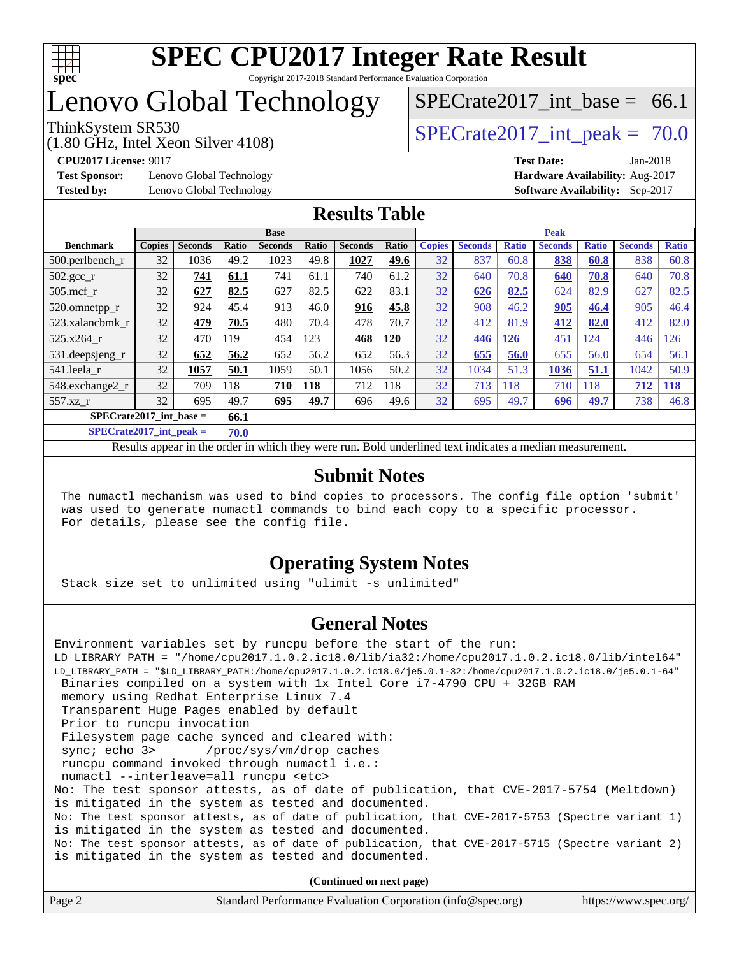

## Lenovo Global Technology

(1.80 GHz, Intel Xeon Silver 4108)

ThinkSystem SR530<br>  $\begin{array}{r} \text{SPECrate2017} \\ \text{SPECrate2017} \\ \text{int peak} = 70.0 \end{array}$ 

SPECrate2017 int\_base =  $66.1$ 

**[Test Sponsor:](http://www.spec.org/auto/cpu2017/Docs/result-fields.html#TestSponsor)** Lenovo Global Technology **[Hardware Availability:](http://www.spec.org/auto/cpu2017/Docs/result-fields.html#HardwareAvailability)** Aug-2017

**[CPU2017 License:](http://www.spec.org/auto/cpu2017/Docs/result-fields.html#CPU2017License)** 9017 **[Test Date:](http://www.spec.org/auto/cpu2017/Docs/result-fields.html#TestDate)** Jan-2018 **[Tested by:](http://www.spec.org/auto/cpu2017/Docs/result-fields.html#Testedby)** Lenovo Global Technology **[Software Availability:](http://www.spec.org/auto/cpu2017/Docs/result-fields.html#SoftwareAvailability)** Sep-2017

### **[Results Table](http://www.spec.org/auto/cpu2017/Docs/result-fields.html#ResultsTable)**

|                                   | <b>Base</b>   |                |       |                |       | <b>Peak</b>    |       |               |                |              |                |              |                |              |
|-----------------------------------|---------------|----------------|-------|----------------|-------|----------------|-------|---------------|----------------|--------------|----------------|--------------|----------------|--------------|
| <b>Benchmark</b>                  | <b>Copies</b> | <b>Seconds</b> | Ratio | <b>Seconds</b> | Ratio | <b>Seconds</b> | Ratio | <b>Copies</b> | <b>Seconds</b> | <b>Ratio</b> | <b>Seconds</b> | <b>Ratio</b> | <b>Seconds</b> | <b>Ratio</b> |
| $500.$ perlbench_r                | 32            | 1036           | 49.2  | 1023           | 49.8  | 1027           | 49.6  | 32            | 837            | 60.8         | 838            | 60.8         | 838            | 60.8         |
| $502.\text{gcc}_{r}$              | 32            | 741            | 61.1  | 741            | 61.1  | 740            | 61.2  | 32            | 640            | 70.8         | 640            | 70.8         | 640            | 70.8         |
| $505$ .mcf r                      | 32            | 627            | 82.5  | 627            | 82.5  | 622            | 83.1  | 32            | 626            | 82.5         | 624            | 82.9         | 627            | 82.5         |
| 520.omnetpp_r                     | 32            | 924            | 45.4  | 913            | 46.0  | 916            | 45.8  | 32            | 908            | 46.2         | 905            | 46.4         | 905            | 46.4         |
| 523.xalancbmk r                   | 32            | 479            | 70.5  | 480            | 70.4  | 478            | 70.7  | 32            | 412            | 81.9         | 412            | 82.0         | 412            | 82.0         |
| 525.x264 r                        | 32            | 470            | 119   | 454            | 123   | 468            | 120   | 32            | 446            | 126          | 451            | 124          | 446            | 126          |
| 531.deepsjeng_r                   | 32            | 652            | 56.2  | 652            | 56.2  | 652            | 56.3  | 32            | 655            | 56.0         | 655            | 56.0         | 654            | 56.1         |
| 541.leela r                       | 32            | 1057           | 50.1  | 1059           | 50.1  | 1056           | 50.2  | 32            | 1034           | 51.3         | 1036           | 51.1         | 1042           | 50.9         |
| 548.exchange2_r                   | 32            | 709            | 118   | 710            | 118   | 712            | 118   | 32            | 713            | 118          | 710            | 118          | 712            | <u>118</u>   |
| 557.xz r                          | 32            | 695            | 49.7  | 695            | 49.7  | 696            | 49.6  | 32            | 695            | 49.7         | 696            | <u>49.7</u>  | 738            | 46.8         |
| $SPECrate2017$ int base =<br>66.1 |               |                |       |                |       |                |       |               |                |              |                |              |                |              |

**[SPECrate2017\\_int\\_peak =](http://www.spec.org/auto/cpu2017/Docs/result-fields.html#SPECrate2017intpeak) 70.0**

Results appear in the [order in which they were run.](http://www.spec.org/auto/cpu2017/Docs/result-fields.html#RunOrder) Bold underlined text [indicates a median measurement.](http://www.spec.org/auto/cpu2017/Docs/result-fields.html#Median)

#### **[Submit Notes](http://www.spec.org/auto/cpu2017/Docs/result-fields.html#SubmitNotes)**

 The numactl mechanism was used to bind copies to processors. The config file option 'submit' was used to generate numactl commands to bind each copy to a specific processor. For details, please see the config file.

#### **[Operating System Notes](http://www.spec.org/auto/cpu2017/Docs/result-fields.html#OperatingSystemNotes)**

Stack size set to unlimited using "ulimit -s unlimited"

#### **[General Notes](http://www.spec.org/auto/cpu2017/Docs/result-fields.html#GeneralNotes)**

Environment variables set by runcpu before the start of the run: LD\_LIBRARY\_PATH = "/home/cpu2017.1.0.2.ic18.0/lib/ia32:/home/cpu2017.1.0.2.ic18.0/lib/intel64" LD\_LIBRARY\_PATH = "\$LD\_LIBRARY\_PATH:/home/cpu2017.1.0.2.ic18.0/je5.0.1-32:/home/cpu2017.1.0.2.ic18.0/je5.0.1-64" Binaries compiled on a system with 1x Intel Core i7-4790 CPU + 32GB RAM memory using Redhat Enterprise Linux 7.4 Transparent Huge Pages enabled by default Prior to runcpu invocation Filesystem page cache synced and cleared with: sync; echo 3> /proc/sys/vm/drop\_caches runcpu command invoked through numactl i.e.: numactl --interleave=all runcpu <etc> No: The test sponsor attests, as of date of publication, that CVE-2017-5754 (Meltdown) is mitigated in the system as tested and documented. No: The test sponsor attests, as of date of publication, that CVE-2017-5753 (Spectre variant 1) is mitigated in the system as tested and documented. No: The test sponsor attests, as of date of publication, that CVE-2017-5715 (Spectre variant 2) is mitigated in the system as tested and documented.

**(Continued on next page)**

| Page 2<br>Standard Performance Evaluation Corporation (info@spec.org) | https://www.spec.org/ |
|-----------------------------------------------------------------------|-----------------------|
|-----------------------------------------------------------------------|-----------------------|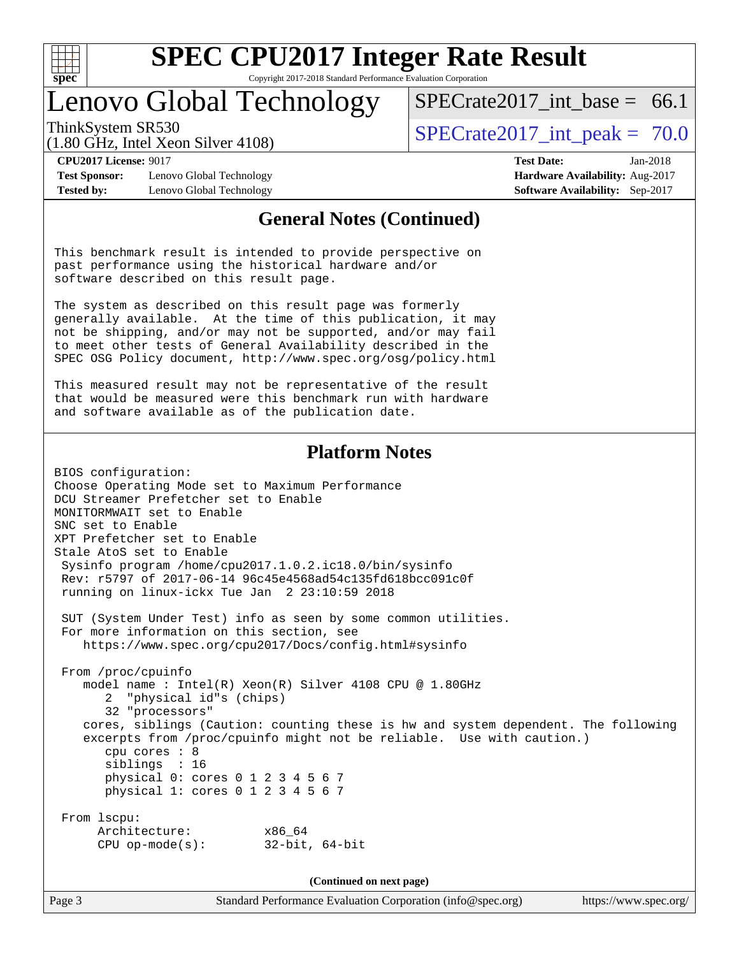

Copyright 2017-2018 Standard Performance Evaluation Corporation

## Lenovo Global Technology

ThinkSystem SR530  $SPECrate2017$  int peak = 70.0 SPECrate2017 int\_base =  $66.1$ 

(1.80 GHz, Intel Xeon Silver 4108)

**[CPU2017 License:](http://www.spec.org/auto/cpu2017/Docs/result-fields.html#CPU2017License)** 9017 **[Test Date:](http://www.spec.org/auto/cpu2017/Docs/result-fields.html#TestDate)** Jan-2018 **[Test Sponsor:](http://www.spec.org/auto/cpu2017/Docs/result-fields.html#TestSponsor)** Lenovo Global Technology **[Hardware Availability:](http://www.spec.org/auto/cpu2017/Docs/result-fields.html#HardwareAvailability)** Aug-2017 **[Tested by:](http://www.spec.org/auto/cpu2017/Docs/result-fields.html#Testedby)** Lenovo Global Technology **[Software Availability:](http://www.spec.org/auto/cpu2017/Docs/result-fields.html#SoftwareAvailability)** Sep-2017

### **[General Notes \(Continued\)](http://www.spec.org/auto/cpu2017/Docs/result-fields.html#GeneralNotes)**

This benchmark result is intended to provide perspective on past performance using the historical hardware and/or software described on this result page.

The system as described on this result page was formerly generally available. At the time of this publication, it may not be shipping, and/or may not be supported, and/or may fail to meet other tests of General Availability described in the SPEC OSG Policy document, <http://www.spec.org/osg/policy.html>

This measured result may not be representative of the result that would be measured were this benchmark run with hardware and software available as of the publication date.

### **[Platform Notes](http://www.spec.org/auto/cpu2017/Docs/result-fields.html#PlatformNotes)**

BIOS configuration: Choose Operating Mode set to Maximum Performance DCU Streamer Prefetcher set to Enable MONITORMWAIT set to Enable SNC set to Enable XPT Prefetcher set to Enable Stale AtoS set to Enable Sysinfo program /home/cpu2017.1.0.2.ic18.0/bin/sysinfo Rev: r5797 of 2017-06-14 96c45e4568ad54c135fd618bcc091c0f running on linux-ickx Tue Jan 2 23:10:59 2018 SUT (System Under Test) info as seen by some common utilities. For more information on this section, see <https://www.spec.org/cpu2017/Docs/config.html#sysinfo> From /proc/cpuinfo model name : Intel(R) Xeon(R) Silver 4108 CPU @ 1.80GHz 2 "physical id"s (chips) 32 "processors" cores, siblings (Caution: counting these is hw and system dependent. The following

 excerpts from /proc/cpuinfo might not be reliable. Use with caution.) cpu cores : 8 siblings : 16 physical 0: cores 0 1 2 3 4 5 6 7 physical 1: cores 0 1 2 3 4 5 6 7

```
 From lscpu:
     Architecture: x86_64
     CPU op-mode(s): 32-bit, 64-bit
```
**(Continued on next page)**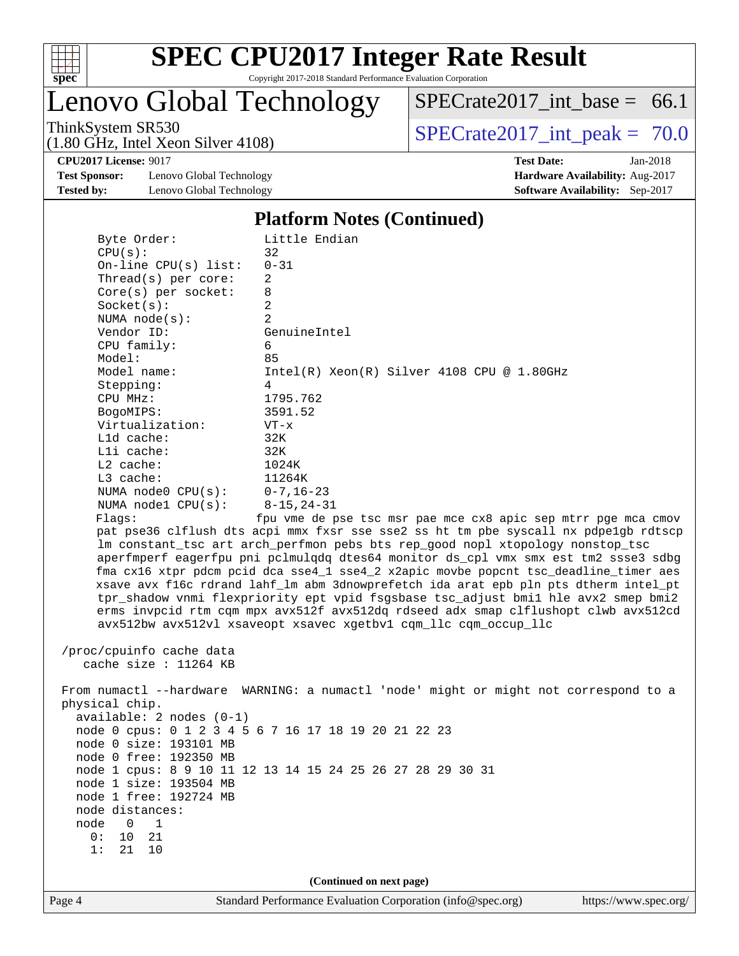

Lenovo Global Technology

 $SPECrate2017\_int\_base = 66.1$ 

(1.80 GHz, Intel Xeon Silver 4108)

ThinkSystem SR530<br>(1.80 GHz, Intel Year Silver 4108) [SPECrate2017\\_int\\_peak =](http://www.spec.org/auto/cpu2017/Docs/result-fields.html#SPECrate2017intpeak) 70.0

**[Test Sponsor:](http://www.spec.org/auto/cpu2017/Docs/result-fields.html#TestSponsor)** Lenovo Global Technology **[Hardware Availability:](http://www.spec.org/auto/cpu2017/Docs/result-fields.html#HardwareAvailability)** Aug-2017 **[Tested by:](http://www.spec.org/auto/cpu2017/Docs/result-fields.html#Testedby)** Lenovo Global Technology **[Software Availability:](http://www.spec.org/auto/cpu2017/Docs/result-fields.html#SoftwareAvailability)** Sep-2017

**[CPU2017 License:](http://www.spec.org/auto/cpu2017/Docs/result-fields.html#CPU2017License)** 9017 **[Test Date:](http://www.spec.org/auto/cpu2017/Docs/result-fields.html#TestDate)** Jan-2018

#### **[Platform Notes \(Continued\)](http://www.spec.org/auto/cpu2017/Docs/result-fields.html#PlatformNotes)**

| CPU(s):                  | 32                                                                                                               |
|--------------------------|------------------------------------------------------------------------------------------------------------------|
| On-line $CPU(s)$ list:   | $0 - 31$                                                                                                         |
| Thread(s) per core:      | 2                                                                                                                |
| $Core(s)$ per socket:    | 8                                                                                                                |
| Socket(s):               | 2                                                                                                                |
| NUMA $node(s):$          | 2                                                                                                                |
| Vendor ID:               | GenuineIntel                                                                                                     |
| CPU family:              | 6                                                                                                                |
| Model:                   | 85                                                                                                               |
| Model name:              | $Intel(R) Xeon(R) Silver 4108 CPU @ 1.80GHz$                                                                     |
| Stepping:                | 4                                                                                                                |
| CPU MHz:                 | 1795.762                                                                                                         |
| BogoMIPS:                | 3591.52                                                                                                          |
| Virtualization:          | $VT - x$                                                                                                         |
| L1d cache:               | 32K                                                                                                              |
| Lli cache:               | 32K                                                                                                              |
| $L2$ cache:              | 1024K                                                                                                            |
| L3 cache:                | 11264K                                                                                                           |
| NUMA $node0$ $CPU(s):$   | $0 - 7$ , 16-23                                                                                                  |
| NUMA nodel $CPU(s):$     | $8 - 15, 24 - 31$                                                                                                |
| Flagg:                   | fpu vme de pse tsc msr pae mce cx8 apic sep mtrr pge mca cmov                                                    |
|                          | pat pse36 clflush dts acpi mmx fxsr sse sse2 ss ht tm pbe syscall nx pdpelgb rdtscp                              |
|                          | lm constant_tsc art arch_perfmon pebs bts rep_good nopl xtopology nonstop_tsc                                    |
|                          | aperfmperf eagerfpu pni pclmulqdq dtes64 monitor ds_cpl vmx smx est tm2 ssse3 sdbg                               |
|                          | fma cx16 xtpr pdcm pcid dca sse4_1 sse4_2 x2apic movbe popcnt tsc_deadline_timer aes                             |
|                          | xsave avx f16c rdrand lahf_lm abm 3dnowprefetch ida arat epb pln pts dtherm intel_pt                             |
|                          | tpr_shadow vnmi flexpriority ept vpid fsgsbase tsc_adjust bmil hle avx2 smep bmi2                                |
|                          | erms invpcid rtm cqm mpx avx512f avx512dq rdseed adx smap clflushopt clwb avx512cd                               |
|                          |                                                                                                                  |
|                          |                                                                                                                  |
|                          | avx512bw avx512vl xsaveopt xsavec xgetbvl cqm_llc cqm_occup_llc                                                  |
|                          |                                                                                                                  |
| /proc/cpuinfo cache data |                                                                                                                  |
| cache size : $11264$ KB  |                                                                                                                  |
|                          |                                                                                                                  |
|                          | From numactl --hardware WARNING: a numactl 'node' might or might not correspond to a                             |
| physical chip.           |                                                                                                                  |
| available: 2 nodes (0-1) |                                                                                                                  |
|                          | node 0 cpus: 0 1 2 3 4 5 6 7 16 17 18 19 20 21 22 23                                                             |
| node 0 size: 193101 MB   |                                                                                                                  |
| node 0 free: 192350 MB   |                                                                                                                  |
|                          | node 1 cpus: 8 9 10 11 12 13 14 15 24 25 26 27 28 29 30 31                                                       |
| node 1 size: 193504 MB   |                                                                                                                  |
| node 1 free: 192724 MB   |                                                                                                                  |
| node distances:          |                                                                                                                  |
| node<br>0<br>1           |                                                                                                                  |
| 0:<br>10<br>21<br>1:     |                                                                                                                  |
| 21<br>10                 |                                                                                                                  |
|                          |                                                                                                                  |
| Page 4                   | (Continued on next page)<br>Standard Performance Evaluation Corporation (info@spec.org)<br>https://www.spec.org/ |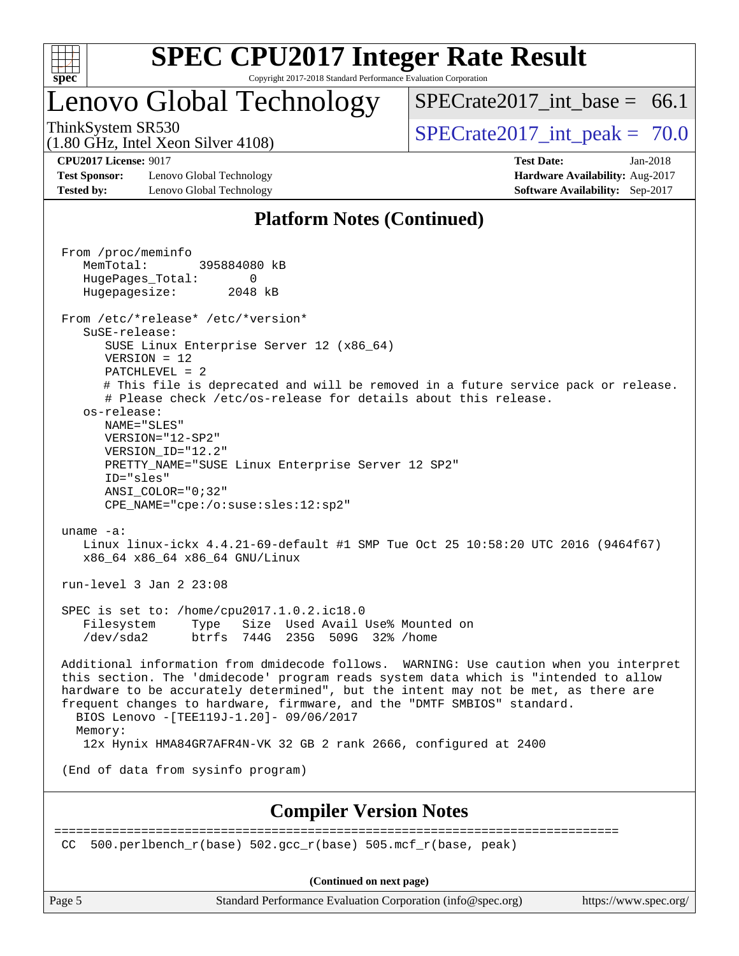

## Lenovo Global Technology

SPECrate2017 int\_base =  $66.1$ 

(1.80 GHz, Intel Xeon Silver 4108)

ThinkSystem SR530<br>  $\begin{array}{r} \text{SPECrate2017} \\ \text{SPECrate2017} \\ \text{int peak} = 70.0 \end{array}$ 

**[Test Sponsor:](http://www.spec.org/auto/cpu2017/Docs/result-fields.html#TestSponsor)** Lenovo Global Technology **[Hardware Availability:](http://www.spec.org/auto/cpu2017/Docs/result-fields.html#HardwareAvailability)** Aug-2017 **[Tested by:](http://www.spec.org/auto/cpu2017/Docs/result-fields.html#Testedby)** Lenovo Global Technology **[Software Availability:](http://www.spec.org/auto/cpu2017/Docs/result-fields.html#SoftwareAvailability)** Sep-2017

**[CPU2017 License:](http://www.spec.org/auto/cpu2017/Docs/result-fields.html#CPU2017License)** 9017 **[Test Date:](http://www.spec.org/auto/cpu2017/Docs/result-fields.html#TestDate)** Jan-2018

### **[Platform Notes \(Continued\)](http://www.spec.org/auto/cpu2017/Docs/result-fields.html#PlatformNotes)**

 From /proc/meminfo MemTotal: 395884080 kB HugePages\_Total: 0 Hugepagesize: 2048 kB From /etc/\*release\* /etc/\*version\* SuSE-release: SUSE Linux Enterprise Server 12 (x86\_64) VERSION = 12 PATCHLEVEL = 2 # This file is deprecated and will be removed in a future service pack or release. # Please check /etc/os-release for details about this release. os-release: NAME="SLES" VERSION="12-SP2" VERSION\_ID="12.2" PRETTY\_NAME="SUSE Linux Enterprise Server 12 SP2" ID="sles" ANSI\_COLOR="0;32" CPE\_NAME="cpe:/o:suse:sles:12:sp2" uname -a: Linux linux-ickx 4.4.21-69-default #1 SMP Tue Oct 25 10:58:20 UTC 2016 (9464f67) x86\_64 x86\_64 x86\_64 GNU/Linux run-level 3 Jan 2 23:08 SPEC is set to: /home/cpu2017.1.0.2.ic18.0 Filesystem Type Size Used Avail Use% Mounted on /dev/sda2 btrfs 744G 235G 509G 32% /home Additional information from dmidecode follows. WARNING: Use caution when you interpret this section. The 'dmidecode' program reads system data which is "intended to allow hardware to be accurately determined", but the intent may not be met, as there are frequent changes to hardware, firmware, and the "DMTF SMBIOS" standard. BIOS Lenovo -[TEE119J-1.20]- 09/06/2017 Memory: 12x Hynix HMA84GR7AFR4N-VK 32 GB 2 rank 2666, configured at 2400 (End of data from sysinfo program) **[Compiler Version Notes](http://www.spec.org/auto/cpu2017/Docs/result-fields.html#CompilerVersionNotes)** ============================================================================== CC 500.perlbench  $r(base)$  502.gcc  $r(base)$  505.mcf  $r(base, peak)$ 

**(Continued on next page)**

Page 5 Standard Performance Evaluation Corporation [\(info@spec.org\)](mailto:info@spec.org) <https://www.spec.org/>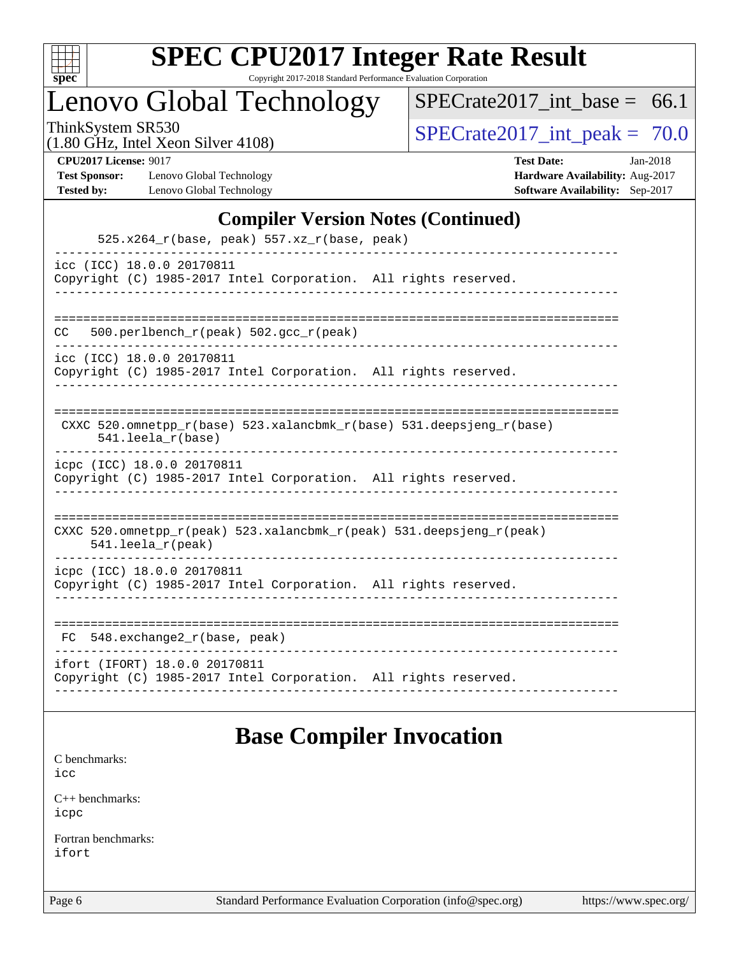

Copyright 2017-2018 Standard Performance Evaluation Corporation

Lenovo Global Technology

 $SPECrate2017\_int\_base = 66.1$ 

(1.80 GHz, Intel Xeon Silver 4108)

ThinkSystem SR530<br>(1.80 GHz, Intel Year Silver 4108) [SPECrate2017\\_int\\_peak =](http://www.spec.org/auto/cpu2017/Docs/result-fields.html#SPECrate2017intpeak)  $\frac{70.0}{20}$ 

**[Test Sponsor:](http://www.spec.org/auto/cpu2017/Docs/result-fields.html#TestSponsor)** Lenovo Global Technology **[Hardware Availability:](http://www.spec.org/auto/cpu2017/Docs/result-fields.html#HardwareAvailability)** Aug-2017 **[Tested by:](http://www.spec.org/auto/cpu2017/Docs/result-fields.html#Testedby)** Lenovo Global Technology **[Software Availability:](http://www.spec.org/auto/cpu2017/Docs/result-fields.html#SoftwareAvailability)** Sep-2017

**[CPU2017 License:](http://www.spec.org/auto/cpu2017/Docs/result-fields.html#CPU2017License)** 9017 **[Test Date:](http://www.spec.org/auto/cpu2017/Docs/result-fields.html#TestDate)** Jan-2018

### **[Compiler Version Notes \(Continued\)](http://www.spec.org/auto/cpu2017/Docs/result-fields.html#CompilerVersionNotes)**

| 525.x264_r(base, peak) 557.xz_r(base, peak)                                                      |
|--------------------------------------------------------------------------------------------------|
| icc (ICC) 18.0.0 20170811<br>Copyright (C) 1985-2017 Intel Corporation. All rights reserved.     |
| 500.perlbench_r(peak) 502.gcc_r(peak)<br>CC.                                                     |
| icc (ICC) 18.0.0 20170811<br>Copyright (C) 1985-2017 Intel Corporation. All rights reserved.     |
| CXXC 520.omnetpp_r(base) 523.xalancbmk_r(base) 531.deepsjeng_r(base)<br>$541.$ leela r(base)     |
| icpc (ICC) 18.0.0 20170811<br>Copyright (C) 1985-2017 Intel Corporation. All rights reserved.    |
| CXXC 520.omnetpp_r(peak) 523.xalancbmk_r(peak) 531.deepsjeng_r(peak)<br>541.leela_r(peak)        |
| icpc (ICC) 18.0.0 20170811<br>Copyright (C) 1985-2017 Intel Corporation. All rights reserved.    |
| 548.exchange2_r(base, peak)<br>FC                                                                |
| ifort (IFORT) 18.0.0 20170811<br>Copyright (C) 1985-2017 Intel Corporation. All rights reserved. |

## **[Base Compiler Invocation](http://www.spec.org/auto/cpu2017/Docs/result-fields.html#BaseCompilerInvocation)**

[C benchmarks](http://www.spec.org/auto/cpu2017/Docs/result-fields.html#Cbenchmarks): [icc](http://www.spec.org/cpu2017/results/res2018q1/cpu2017-20180108-02588.flags.html#user_CCbase_intel_icc_18.0_66fc1ee009f7361af1fbd72ca7dcefbb700085f36577c54f309893dd4ec40d12360134090235512931783d35fd58c0460139e722d5067c5574d8eaf2b3e37e92)

[C++ benchmarks:](http://www.spec.org/auto/cpu2017/Docs/result-fields.html#CXXbenchmarks) [icpc](http://www.spec.org/cpu2017/results/res2018q1/cpu2017-20180108-02588.flags.html#user_CXXbase_intel_icpc_18.0_c510b6838c7f56d33e37e94d029a35b4a7bccf4766a728ee175e80a419847e808290a9b78be685c44ab727ea267ec2f070ec5dc83b407c0218cded6866a35d07)

[Fortran benchmarks](http://www.spec.org/auto/cpu2017/Docs/result-fields.html#Fortranbenchmarks): [ifort](http://www.spec.org/cpu2017/results/res2018q1/cpu2017-20180108-02588.flags.html#user_FCbase_intel_ifort_18.0_8111460550e3ca792625aed983ce982f94888b8b503583aa7ba2b8303487b4d8a21a13e7191a45c5fd58ff318f48f9492884d4413fa793fd88dd292cad7027ca)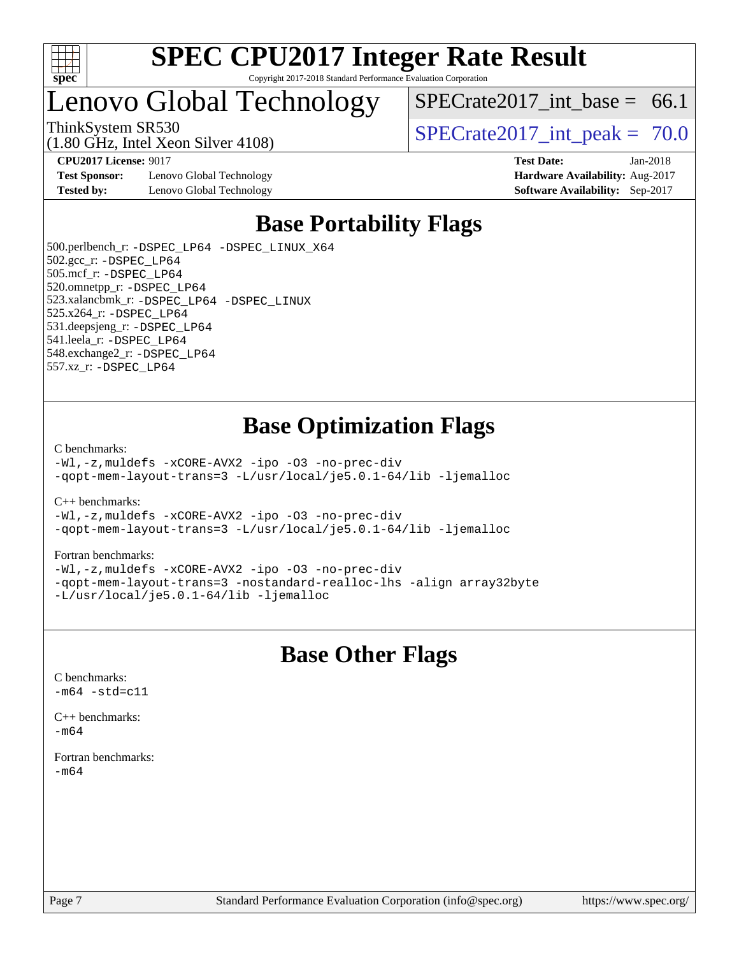

## Lenovo Global Technology

SPECrate2017 int\_base =  $66.1$ 

(1.80 GHz, Intel Xeon Silver 4108) ThinkSystem SR530<br>  $\begin{array}{r} \text{SPECrate2017} \text{ int peak} = 70.0 \\ \text{SPECrate2017} \text{ int peak} = 70.0 \end{array}$ 

**[Test Sponsor:](http://www.spec.org/auto/cpu2017/Docs/result-fields.html#TestSponsor)** Lenovo Global Technology **[Hardware Availability:](http://www.spec.org/auto/cpu2017/Docs/result-fields.html#HardwareAvailability)** Aug-2017 **[Tested by:](http://www.spec.org/auto/cpu2017/Docs/result-fields.html#Testedby)** Lenovo Global Technology **[Software Availability:](http://www.spec.org/auto/cpu2017/Docs/result-fields.html#SoftwareAvailability)** Sep-2017

**[CPU2017 License:](http://www.spec.org/auto/cpu2017/Docs/result-fields.html#CPU2017License)** 9017 **[Test Date:](http://www.spec.org/auto/cpu2017/Docs/result-fields.html#TestDate)** Jan-2018

## **[Base Portability Flags](http://www.spec.org/auto/cpu2017/Docs/result-fields.html#BasePortabilityFlags)**

 500.perlbench\_r: [-DSPEC\\_LP64](http://www.spec.org/cpu2017/results/res2018q1/cpu2017-20180108-02588.flags.html#b500.perlbench_r_basePORTABILITY_DSPEC_LP64) [-DSPEC\\_LINUX\\_X64](http://www.spec.org/cpu2017/results/res2018q1/cpu2017-20180108-02588.flags.html#b500.perlbench_r_baseCPORTABILITY_DSPEC_LINUX_X64) 502.gcc\_r: [-DSPEC\\_LP64](http://www.spec.org/cpu2017/results/res2018q1/cpu2017-20180108-02588.flags.html#suite_basePORTABILITY502_gcc_r_DSPEC_LP64) 505.mcf\_r: [-DSPEC\\_LP64](http://www.spec.org/cpu2017/results/res2018q1/cpu2017-20180108-02588.flags.html#suite_basePORTABILITY505_mcf_r_DSPEC_LP64) 520.omnetpp\_r: [-DSPEC\\_LP64](http://www.spec.org/cpu2017/results/res2018q1/cpu2017-20180108-02588.flags.html#suite_basePORTABILITY520_omnetpp_r_DSPEC_LP64) 523.xalancbmk\_r: [-DSPEC\\_LP64](http://www.spec.org/cpu2017/results/res2018q1/cpu2017-20180108-02588.flags.html#suite_basePORTABILITY523_xalancbmk_r_DSPEC_LP64) [-DSPEC\\_LINUX](http://www.spec.org/cpu2017/results/res2018q1/cpu2017-20180108-02588.flags.html#b523.xalancbmk_r_baseCXXPORTABILITY_DSPEC_LINUX) 525.x264\_r: [-DSPEC\\_LP64](http://www.spec.org/cpu2017/results/res2018q1/cpu2017-20180108-02588.flags.html#suite_basePORTABILITY525_x264_r_DSPEC_LP64) 531.deepsjeng\_r: [-DSPEC\\_LP64](http://www.spec.org/cpu2017/results/res2018q1/cpu2017-20180108-02588.flags.html#suite_basePORTABILITY531_deepsjeng_r_DSPEC_LP64) 541.leela\_r: [-DSPEC\\_LP64](http://www.spec.org/cpu2017/results/res2018q1/cpu2017-20180108-02588.flags.html#suite_basePORTABILITY541_leela_r_DSPEC_LP64) 548.exchange2\_r: [-DSPEC\\_LP64](http://www.spec.org/cpu2017/results/res2018q1/cpu2017-20180108-02588.flags.html#suite_basePORTABILITY548_exchange2_r_DSPEC_LP64) 557.xz\_r: [-DSPEC\\_LP64](http://www.spec.org/cpu2017/results/res2018q1/cpu2017-20180108-02588.flags.html#suite_basePORTABILITY557_xz_r_DSPEC_LP64)

## **[Base Optimization Flags](http://www.spec.org/auto/cpu2017/Docs/result-fields.html#BaseOptimizationFlags)**

#### [C benchmarks](http://www.spec.org/auto/cpu2017/Docs/result-fields.html#Cbenchmarks):

[-Wl,-z,muldefs](http://www.spec.org/cpu2017/results/res2018q1/cpu2017-20180108-02588.flags.html#user_CCbase_link_force_multiple1_b4cbdb97b34bdee9ceefcfe54f4c8ea74255f0b02a4b23e853cdb0e18eb4525ac79b5a88067c842dd0ee6996c24547a27a4b99331201badda8798ef8a743f577) [-xCORE-AVX2](http://www.spec.org/cpu2017/results/res2018q1/cpu2017-20180108-02588.flags.html#user_CCbase_f-xCORE-AVX2) [-ipo](http://www.spec.org/cpu2017/results/res2018q1/cpu2017-20180108-02588.flags.html#user_CCbase_f-ipo) [-O3](http://www.spec.org/cpu2017/results/res2018q1/cpu2017-20180108-02588.flags.html#user_CCbase_f-O3) [-no-prec-div](http://www.spec.org/cpu2017/results/res2018q1/cpu2017-20180108-02588.flags.html#user_CCbase_f-no-prec-div) [-qopt-mem-layout-trans=3](http://www.spec.org/cpu2017/results/res2018q1/cpu2017-20180108-02588.flags.html#user_CCbase_f-qopt-mem-layout-trans_de80db37974c74b1f0e20d883f0b675c88c3b01e9d123adea9b28688d64333345fb62bc4a798493513fdb68f60282f9a726aa07f478b2f7113531aecce732043) [-L/usr/local/je5.0.1-64/lib](http://www.spec.org/cpu2017/results/res2018q1/cpu2017-20180108-02588.flags.html#user_CCbase_jemalloc_link_path64_4b10a636b7bce113509b17f3bd0d6226c5fb2346b9178c2d0232c14f04ab830f976640479e5c33dc2bcbbdad86ecfb6634cbbd4418746f06f368b512fced5394) [-ljemalloc](http://www.spec.org/cpu2017/results/res2018q1/cpu2017-20180108-02588.flags.html#user_CCbase_jemalloc_link_lib_d1249b907c500fa1c0672f44f562e3d0f79738ae9e3c4a9c376d49f265a04b9c99b167ecedbf6711b3085be911c67ff61f150a17b3472be731631ba4d0471706)

[C++ benchmarks:](http://www.spec.org/auto/cpu2017/Docs/result-fields.html#CXXbenchmarks)

[-Wl,-z,muldefs](http://www.spec.org/cpu2017/results/res2018q1/cpu2017-20180108-02588.flags.html#user_CXXbase_link_force_multiple1_b4cbdb97b34bdee9ceefcfe54f4c8ea74255f0b02a4b23e853cdb0e18eb4525ac79b5a88067c842dd0ee6996c24547a27a4b99331201badda8798ef8a743f577) [-xCORE-AVX2](http://www.spec.org/cpu2017/results/res2018q1/cpu2017-20180108-02588.flags.html#user_CXXbase_f-xCORE-AVX2) [-ipo](http://www.spec.org/cpu2017/results/res2018q1/cpu2017-20180108-02588.flags.html#user_CXXbase_f-ipo) [-O3](http://www.spec.org/cpu2017/results/res2018q1/cpu2017-20180108-02588.flags.html#user_CXXbase_f-O3) [-no-prec-div](http://www.spec.org/cpu2017/results/res2018q1/cpu2017-20180108-02588.flags.html#user_CXXbase_f-no-prec-div) [-qopt-mem-layout-trans=3](http://www.spec.org/cpu2017/results/res2018q1/cpu2017-20180108-02588.flags.html#user_CXXbase_f-qopt-mem-layout-trans_de80db37974c74b1f0e20d883f0b675c88c3b01e9d123adea9b28688d64333345fb62bc4a798493513fdb68f60282f9a726aa07f478b2f7113531aecce732043) [-L/usr/local/je5.0.1-64/lib](http://www.spec.org/cpu2017/results/res2018q1/cpu2017-20180108-02588.flags.html#user_CXXbase_jemalloc_link_path64_4b10a636b7bce113509b17f3bd0d6226c5fb2346b9178c2d0232c14f04ab830f976640479e5c33dc2bcbbdad86ecfb6634cbbd4418746f06f368b512fced5394) [-ljemalloc](http://www.spec.org/cpu2017/results/res2018q1/cpu2017-20180108-02588.flags.html#user_CXXbase_jemalloc_link_lib_d1249b907c500fa1c0672f44f562e3d0f79738ae9e3c4a9c376d49f265a04b9c99b167ecedbf6711b3085be911c67ff61f150a17b3472be731631ba4d0471706)

#### [Fortran benchmarks](http://www.spec.org/auto/cpu2017/Docs/result-fields.html#Fortranbenchmarks):

[-Wl,-z,muldefs](http://www.spec.org/cpu2017/results/res2018q1/cpu2017-20180108-02588.flags.html#user_FCbase_link_force_multiple1_b4cbdb97b34bdee9ceefcfe54f4c8ea74255f0b02a4b23e853cdb0e18eb4525ac79b5a88067c842dd0ee6996c24547a27a4b99331201badda8798ef8a743f577) [-xCORE-AVX2](http://www.spec.org/cpu2017/results/res2018q1/cpu2017-20180108-02588.flags.html#user_FCbase_f-xCORE-AVX2) [-ipo](http://www.spec.org/cpu2017/results/res2018q1/cpu2017-20180108-02588.flags.html#user_FCbase_f-ipo) [-O3](http://www.spec.org/cpu2017/results/res2018q1/cpu2017-20180108-02588.flags.html#user_FCbase_f-O3) [-no-prec-div](http://www.spec.org/cpu2017/results/res2018q1/cpu2017-20180108-02588.flags.html#user_FCbase_f-no-prec-div) [-qopt-mem-layout-trans=3](http://www.spec.org/cpu2017/results/res2018q1/cpu2017-20180108-02588.flags.html#user_FCbase_f-qopt-mem-layout-trans_de80db37974c74b1f0e20d883f0b675c88c3b01e9d123adea9b28688d64333345fb62bc4a798493513fdb68f60282f9a726aa07f478b2f7113531aecce732043) [-nostandard-realloc-lhs](http://www.spec.org/cpu2017/results/res2018q1/cpu2017-20180108-02588.flags.html#user_FCbase_f_2003_std_realloc_82b4557e90729c0f113870c07e44d33d6f5a304b4f63d4c15d2d0f1fab99f5daaed73bdb9275d9ae411527f28b936061aa8b9c8f2d63842963b95c9dd6426b8a) [-align array32byte](http://www.spec.org/cpu2017/results/res2018q1/cpu2017-20180108-02588.flags.html#user_FCbase_align_array32byte_b982fe038af199962ba9a80c053b8342c548c85b40b8e86eb3cc33dee0d7986a4af373ac2d51c3f7cf710a18d62fdce2948f201cd044323541f22fc0fffc51b6) [-L/usr/local/je5.0.1-64/lib](http://www.spec.org/cpu2017/results/res2018q1/cpu2017-20180108-02588.flags.html#user_FCbase_jemalloc_link_path64_4b10a636b7bce113509b17f3bd0d6226c5fb2346b9178c2d0232c14f04ab830f976640479e5c33dc2bcbbdad86ecfb6634cbbd4418746f06f368b512fced5394) [-ljemalloc](http://www.spec.org/cpu2017/results/res2018q1/cpu2017-20180108-02588.flags.html#user_FCbase_jemalloc_link_lib_d1249b907c500fa1c0672f44f562e3d0f79738ae9e3c4a9c376d49f265a04b9c99b167ecedbf6711b3085be911c67ff61f150a17b3472be731631ba4d0471706)

## **[Base Other Flags](http://www.spec.org/auto/cpu2017/Docs/result-fields.html#BaseOtherFlags)**

[C benchmarks](http://www.spec.org/auto/cpu2017/Docs/result-fields.html#Cbenchmarks):  $-m64 - std= c11$  $-m64 - std= c11$ 

[C++ benchmarks:](http://www.spec.org/auto/cpu2017/Docs/result-fields.html#CXXbenchmarks)  $-m64$ 

[Fortran benchmarks](http://www.spec.org/auto/cpu2017/Docs/result-fields.html#Fortranbenchmarks): [-m64](http://www.spec.org/cpu2017/results/res2018q1/cpu2017-20180108-02588.flags.html#user_FCbase_intel_intel64_18.0_af43caccfc8ded86e7699f2159af6efc7655f51387b94da716254467f3c01020a5059329e2569e4053f409e7c9202a7efc638f7a6d1ffb3f52dea4a3e31d82ab)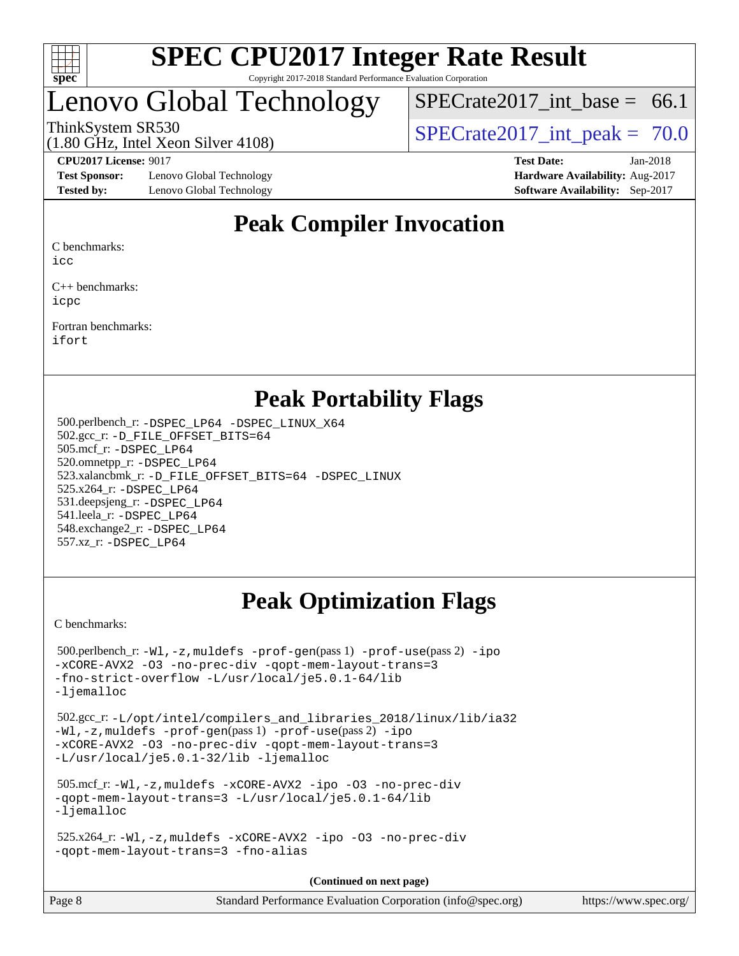

## Lenovo Global Technology

SPECrate2017 int\_base =  $66.1$ 

(1.80 GHz, Intel Xeon Silver 4108)

ThinkSystem SR530<br>  $\begin{array}{r} \text{SPECrate2017} \text{ int peak} = 70.0 \\ \text{SPECrate2017} \text{ int peak} = 70.0 \end{array}$ 

**[Test Sponsor:](http://www.spec.org/auto/cpu2017/Docs/result-fields.html#TestSponsor)** Lenovo Global Technology **[Hardware Availability:](http://www.spec.org/auto/cpu2017/Docs/result-fields.html#HardwareAvailability)** Aug-2017 **[Tested by:](http://www.spec.org/auto/cpu2017/Docs/result-fields.html#Testedby)** Lenovo Global Technology **[Software Availability:](http://www.spec.org/auto/cpu2017/Docs/result-fields.html#SoftwareAvailability)** Sep-2017

**[CPU2017 License:](http://www.spec.org/auto/cpu2017/Docs/result-fields.html#CPU2017License)** 9017 **[Test Date:](http://www.spec.org/auto/cpu2017/Docs/result-fields.html#TestDate)** Jan-2018

## **[Peak Compiler Invocation](http://www.spec.org/auto/cpu2017/Docs/result-fields.html#PeakCompilerInvocation)**

[C benchmarks:](http://www.spec.org/auto/cpu2017/Docs/result-fields.html#Cbenchmarks)

[icc](http://www.spec.org/cpu2017/results/res2018q1/cpu2017-20180108-02588.flags.html#user_CCpeak_intel_icc_18.0_66fc1ee009f7361af1fbd72ca7dcefbb700085f36577c54f309893dd4ec40d12360134090235512931783d35fd58c0460139e722d5067c5574d8eaf2b3e37e92)

[C++ benchmarks:](http://www.spec.org/auto/cpu2017/Docs/result-fields.html#CXXbenchmarks) [icpc](http://www.spec.org/cpu2017/results/res2018q1/cpu2017-20180108-02588.flags.html#user_CXXpeak_intel_icpc_18.0_c510b6838c7f56d33e37e94d029a35b4a7bccf4766a728ee175e80a419847e808290a9b78be685c44ab727ea267ec2f070ec5dc83b407c0218cded6866a35d07)

[Fortran benchmarks](http://www.spec.org/auto/cpu2017/Docs/result-fields.html#Fortranbenchmarks): [ifort](http://www.spec.org/cpu2017/results/res2018q1/cpu2017-20180108-02588.flags.html#user_FCpeak_intel_ifort_18.0_8111460550e3ca792625aed983ce982f94888b8b503583aa7ba2b8303487b4d8a21a13e7191a45c5fd58ff318f48f9492884d4413fa793fd88dd292cad7027ca)

## **[Peak Portability Flags](http://www.spec.org/auto/cpu2017/Docs/result-fields.html#PeakPortabilityFlags)**

 500.perlbench\_r: [-DSPEC\\_LP64](http://www.spec.org/cpu2017/results/res2018q1/cpu2017-20180108-02588.flags.html#b500.perlbench_r_peakPORTABILITY_DSPEC_LP64) [-DSPEC\\_LINUX\\_X64](http://www.spec.org/cpu2017/results/res2018q1/cpu2017-20180108-02588.flags.html#b500.perlbench_r_peakCPORTABILITY_DSPEC_LINUX_X64) 502.gcc\_r: [-D\\_FILE\\_OFFSET\\_BITS=64](http://www.spec.org/cpu2017/results/res2018q1/cpu2017-20180108-02588.flags.html#user_peakPORTABILITY502_gcc_r_file_offset_bits_64_5ae949a99b284ddf4e95728d47cb0843d81b2eb0e18bdfe74bbf0f61d0b064f4bda2f10ea5eb90e1dcab0e84dbc592acfc5018bc955c18609f94ddb8d550002c) 505.mcf\_r: [-DSPEC\\_LP64](http://www.spec.org/cpu2017/results/res2018q1/cpu2017-20180108-02588.flags.html#suite_peakPORTABILITY505_mcf_r_DSPEC_LP64) 520.omnetpp\_r: [-DSPEC\\_LP64](http://www.spec.org/cpu2017/results/res2018q1/cpu2017-20180108-02588.flags.html#suite_peakPORTABILITY520_omnetpp_r_DSPEC_LP64) 523.xalancbmk\_r: [-D\\_FILE\\_OFFSET\\_BITS=64](http://www.spec.org/cpu2017/results/res2018q1/cpu2017-20180108-02588.flags.html#user_peakPORTABILITY523_xalancbmk_r_file_offset_bits_64_5ae949a99b284ddf4e95728d47cb0843d81b2eb0e18bdfe74bbf0f61d0b064f4bda2f10ea5eb90e1dcab0e84dbc592acfc5018bc955c18609f94ddb8d550002c) [-DSPEC\\_LINUX](http://www.spec.org/cpu2017/results/res2018q1/cpu2017-20180108-02588.flags.html#b523.xalancbmk_r_peakCXXPORTABILITY_DSPEC_LINUX) 525.x264\_r: [-DSPEC\\_LP64](http://www.spec.org/cpu2017/results/res2018q1/cpu2017-20180108-02588.flags.html#suite_peakPORTABILITY525_x264_r_DSPEC_LP64) 531.deepsjeng\_r: [-DSPEC\\_LP64](http://www.spec.org/cpu2017/results/res2018q1/cpu2017-20180108-02588.flags.html#suite_peakPORTABILITY531_deepsjeng_r_DSPEC_LP64) 541.leela\_r: [-DSPEC\\_LP64](http://www.spec.org/cpu2017/results/res2018q1/cpu2017-20180108-02588.flags.html#suite_peakPORTABILITY541_leela_r_DSPEC_LP64) 548.exchange2\_r: [-DSPEC\\_LP64](http://www.spec.org/cpu2017/results/res2018q1/cpu2017-20180108-02588.flags.html#suite_peakPORTABILITY548_exchange2_r_DSPEC_LP64) 557.xz\_r: [-DSPEC\\_LP64](http://www.spec.org/cpu2017/results/res2018q1/cpu2017-20180108-02588.flags.html#suite_peakPORTABILITY557_xz_r_DSPEC_LP64)

## **[Peak Optimization Flags](http://www.spec.org/auto/cpu2017/Docs/result-fields.html#PeakOptimizationFlags)**

[C benchmarks](http://www.spec.org/auto/cpu2017/Docs/result-fields.html#Cbenchmarks):

```
 500.perlbench_r: -Wl,-z,muldefs -prof-gen(pass 1) -prof-use(pass 2) -ipo
-xCORE-AVX2 -O3 -no-prec-div -qopt-mem-layout-trans=3
-fno-strict-overflow -L/usr/local/je5.0.1-64/lib
-ljemalloc
 502.gcc_r: -L/opt/intel/compilers_and_libraries_2018/linux/lib/ia32
-Wl,-z,muldefs -prof-gen(pass 1) -prof-use(pass 2) -ipo
-xCORE-AVX2 -O3 -no-prec-div -qopt-mem-layout-trans=3
-L/usr/local/je5.0.1-32/lib -ljemalloc
 505.mcf_r: -Wl,-z,muldefs -xCORE-AVX2 -ipo -O3 -no-prec-div
-qopt-mem-layout-trans=3 -L/usr/local/je5.0.1-64/lib
-ljemalloc
 525.x264_r: -Wl,-z,muldefs -xCORE-AVX2 -ipo -O3 -no-prec-div
-qopt-mem-layout-trans=3 -fno-alias
                                     (Continued on next page)
```

| Page 8 | Standard Performance Evaluation Corporation (info@spec.org) | https://www.spec.org/ |
|--------|-------------------------------------------------------------|-----------------------|
|--------|-------------------------------------------------------------|-----------------------|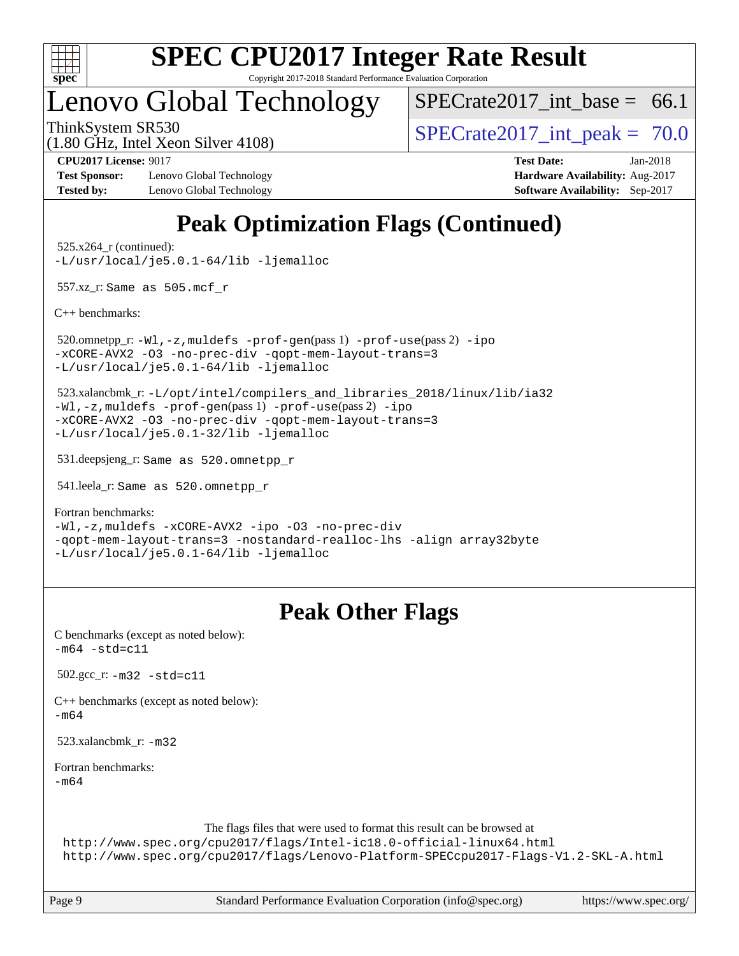

Copyright 2017-2018 Standard Performance Evaluation Corporation

## Lenovo Global Technology

SPECrate2017 int\_base =  $66.1$ 

(1.80 GHz, Intel Xeon Silver 4108)

ThinkSystem SR530<br>  $\begin{array}{r} \text{SPECrate2017} \\ \text{SPECrate2017} \\ \text{int peak} = 70.0 \end{array}$ 

**[Test Sponsor:](http://www.spec.org/auto/cpu2017/Docs/result-fields.html#TestSponsor)** Lenovo Global Technology **[Hardware Availability:](http://www.spec.org/auto/cpu2017/Docs/result-fields.html#HardwareAvailability)** Aug-2017 **[Tested by:](http://www.spec.org/auto/cpu2017/Docs/result-fields.html#Testedby)** Lenovo Global Technology **[Software Availability:](http://www.spec.org/auto/cpu2017/Docs/result-fields.html#SoftwareAvailability)** Sep-2017

**[CPU2017 License:](http://www.spec.org/auto/cpu2017/Docs/result-fields.html#CPU2017License)** 9017 **[Test Date:](http://www.spec.org/auto/cpu2017/Docs/result-fields.html#TestDate)** Jan-2018

## **[Peak Optimization Flags \(Continued\)](http://www.spec.org/auto/cpu2017/Docs/result-fields.html#PeakOptimizationFlags)**

 525.x264\_r (continued): [-L/usr/local/je5.0.1-64/lib](http://www.spec.org/cpu2017/results/res2018q1/cpu2017-20180108-02588.flags.html#user_peakEXTRA_LIBS525_x264_r_jemalloc_link_path64_4b10a636b7bce113509b17f3bd0d6226c5fb2346b9178c2d0232c14f04ab830f976640479e5c33dc2bcbbdad86ecfb6634cbbd4418746f06f368b512fced5394) [-ljemalloc](http://www.spec.org/cpu2017/results/res2018q1/cpu2017-20180108-02588.flags.html#user_peakEXTRA_LIBS525_x264_r_jemalloc_link_lib_d1249b907c500fa1c0672f44f562e3d0f79738ae9e3c4a9c376d49f265a04b9c99b167ecedbf6711b3085be911c67ff61f150a17b3472be731631ba4d0471706)

557.xz\_r: Same as 505.mcf\_r

[C++ benchmarks:](http://www.spec.org/auto/cpu2017/Docs/result-fields.html#CXXbenchmarks)

 520.omnetpp\_r: [-Wl,-z,muldefs](http://www.spec.org/cpu2017/results/res2018q1/cpu2017-20180108-02588.flags.html#user_peakEXTRA_LDFLAGS520_omnetpp_r_link_force_multiple1_b4cbdb97b34bdee9ceefcfe54f4c8ea74255f0b02a4b23e853cdb0e18eb4525ac79b5a88067c842dd0ee6996c24547a27a4b99331201badda8798ef8a743f577) [-prof-gen](http://www.spec.org/cpu2017/results/res2018q1/cpu2017-20180108-02588.flags.html#user_peakPASS1_CXXFLAGSPASS1_LDFLAGS520_omnetpp_r_prof_gen_5aa4926d6013ddb2a31985c654b3eb18169fc0c6952a63635c234f711e6e63dd76e94ad52365559451ec499a2cdb89e4dc58ba4c67ef54ca681ffbe1461d6b36)(pass 1) [-prof-use](http://www.spec.org/cpu2017/results/res2018q1/cpu2017-20180108-02588.flags.html#user_peakPASS2_CXXFLAGSPASS2_LDFLAGS520_omnetpp_r_prof_use_1a21ceae95f36a2b53c25747139a6c16ca95bd9def2a207b4f0849963b97e94f5260e30a0c64f4bb623698870e679ca08317ef8150905d41bd88c6f78df73f19)(pass 2) [-ipo](http://www.spec.org/cpu2017/results/res2018q1/cpu2017-20180108-02588.flags.html#user_peakPASS1_CXXOPTIMIZEPASS2_CXXOPTIMIZE520_omnetpp_r_f-ipo) [-xCORE-AVX2](http://www.spec.org/cpu2017/results/res2018q1/cpu2017-20180108-02588.flags.html#user_peakPASS2_CXXOPTIMIZE520_omnetpp_r_f-xCORE-AVX2) [-O3](http://www.spec.org/cpu2017/results/res2018q1/cpu2017-20180108-02588.flags.html#user_peakPASS1_CXXOPTIMIZEPASS2_CXXOPTIMIZE520_omnetpp_r_f-O3) [-no-prec-div](http://www.spec.org/cpu2017/results/res2018q1/cpu2017-20180108-02588.flags.html#user_peakPASS1_CXXOPTIMIZEPASS2_CXXOPTIMIZE520_omnetpp_r_f-no-prec-div) [-qopt-mem-layout-trans=3](http://www.spec.org/cpu2017/results/res2018q1/cpu2017-20180108-02588.flags.html#user_peakPASS1_CXXOPTIMIZEPASS2_CXXOPTIMIZE520_omnetpp_r_f-qopt-mem-layout-trans_de80db37974c74b1f0e20d883f0b675c88c3b01e9d123adea9b28688d64333345fb62bc4a798493513fdb68f60282f9a726aa07f478b2f7113531aecce732043) [-L/usr/local/je5.0.1-64/lib](http://www.spec.org/cpu2017/results/res2018q1/cpu2017-20180108-02588.flags.html#user_peakEXTRA_LIBS520_omnetpp_r_jemalloc_link_path64_4b10a636b7bce113509b17f3bd0d6226c5fb2346b9178c2d0232c14f04ab830f976640479e5c33dc2bcbbdad86ecfb6634cbbd4418746f06f368b512fced5394) [-ljemalloc](http://www.spec.org/cpu2017/results/res2018q1/cpu2017-20180108-02588.flags.html#user_peakEXTRA_LIBS520_omnetpp_r_jemalloc_link_lib_d1249b907c500fa1c0672f44f562e3d0f79738ae9e3c4a9c376d49f265a04b9c99b167ecedbf6711b3085be911c67ff61f150a17b3472be731631ba4d0471706)

 523.xalancbmk\_r: [-L/opt/intel/compilers\\_and\\_libraries\\_2018/linux/lib/ia32](http://www.spec.org/cpu2017/results/res2018q1/cpu2017-20180108-02588.flags.html#user_peakCXXLD523_xalancbmk_r_Enable-32bit-runtime_af243bdb1d79e4c7a4f720bf8275e627de2ecd461de63307bc14cef0633fde3cd7bb2facb32dcc8be9566045fb55d40ce2b72b725f73827aa7833441b71b9343) [-Wl,-z,muldefs](http://www.spec.org/cpu2017/results/res2018q1/cpu2017-20180108-02588.flags.html#user_peakEXTRA_LDFLAGS523_xalancbmk_r_link_force_multiple1_b4cbdb97b34bdee9ceefcfe54f4c8ea74255f0b02a4b23e853cdb0e18eb4525ac79b5a88067c842dd0ee6996c24547a27a4b99331201badda8798ef8a743f577) [-prof-gen](http://www.spec.org/cpu2017/results/res2018q1/cpu2017-20180108-02588.flags.html#user_peakPASS1_CXXFLAGSPASS1_LDFLAGS523_xalancbmk_r_prof_gen_5aa4926d6013ddb2a31985c654b3eb18169fc0c6952a63635c234f711e6e63dd76e94ad52365559451ec499a2cdb89e4dc58ba4c67ef54ca681ffbe1461d6b36)(pass 1) [-prof-use](http://www.spec.org/cpu2017/results/res2018q1/cpu2017-20180108-02588.flags.html#user_peakPASS2_CXXFLAGSPASS2_LDFLAGS523_xalancbmk_r_prof_use_1a21ceae95f36a2b53c25747139a6c16ca95bd9def2a207b4f0849963b97e94f5260e30a0c64f4bb623698870e679ca08317ef8150905d41bd88c6f78df73f19)(pass 2) [-ipo](http://www.spec.org/cpu2017/results/res2018q1/cpu2017-20180108-02588.flags.html#user_peakPASS1_CXXOPTIMIZEPASS2_CXXOPTIMIZE523_xalancbmk_r_f-ipo) [-xCORE-AVX2](http://www.spec.org/cpu2017/results/res2018q1/cpu2017-20180108-02588.flags.html#user_peakPASS2_CXXOPTIMIZE523_xalancbmk_r_f-xCORE-AVX2) [-O3](http://www.spec.org/cpu2017/results/res2018q1/cpu2017-20180108-02588.flags.html#user_peakPASS1_CXXOPTIMIZEPASS2_CXXOPTIMIZE523_xalancbmk_r_f-O3) [-no-prec-div](http://www.spec.org/cpu2017/results/res2018q1/cpu2017-20180108-02588.flags.html#user_peakPASS1_CXXOPTIMIZEPASS2_CXXOPTIMIZE523_xalancbmk_r_f-no-prec-div) [-qopt-mem-layout-trans=3](http://www.spec.org/cpu2017/results/res2018q1/cpu2017-20180108-02588.flags.html#user_peakPASS1_CXXOPTIMIZEPASS2_CXXOPTIMIZE523_xalancbmk_r_f-qopt-mem-layout-trans_de80db37974c74b1f0e20d883f0b675c88c3b01e9d123adea9b28688d64333345fb62bc4a798493513fdb68f60282f9a726aa07f478b2f7113531aecce732043) [-L/usr/local/je5.0.1-32/lib](http://www.spec.org/cpu2017/results/res2018q1/cpu2017-20180108-02588.flags.html#user_peakEXTRA_LIBS523_xalancbmk_r_jemalloc_link_path32_e29f22e8e6c17053bbc6a0971f5a9c01a601a06bb1a59df2084b77a2fe0a2995b64fd4256feaeea39eeba3aae142e96e2b2b0a28974019c0c0c88139a84f900a) [-ljemalloc](http://www.spec.org/cpu2017/results/res2018q1/cpu2017-20180108-02588.flags.html#user_peakEXTRA_LIBS523_xalancbmk_r_jemalloc_link_lib_d1249b907c500fa1c0672f44f562e3d0f79738ae9e3c4a9c376d49f265a04b9c99b167ecedbf6711b3085be911c67ff61f150a17b3472be731631ba4d0471706)

531.deepsjeng\_r: Same as 520.omnetpp\_r

541.leela\_r: Same as 520.omnetpp\_r

[Fortran benchmarks](http://www.spec.org/auto/cpu2017/Docs/result-fields.html#Fortranbenchmarks):

[-Wl,-z,muldefs](http://www.spec.org/cpu2017/results/res2018q1/cpu2017-20180108-02588.flags.html#user_FCpeak_link_force_multiple1_b4cbdb97b34bdee9ceefcfe54f4c8ea74255f0b02a4b23e853cdb0e18eb4525ac79b5a88067c842dd0ee6996c24547a27a4b99331201badda8798ef8a743f577) [-xCORE-AVX2](http://www.spec.org/cpu2017/results/res2018q1/cpu2017-20180108-02588.flags.html#user_FCpeak_f-xCORE-AVX2) [-ipo](http://www.spec.org/cpu2017/results/res2018q1/cpu2017-20180108-02588.flags.html#user_FCpeak_f-ipo) [-O3](http://www.spec.org/cpu2017/results/res2018q1/cpu2017-20180108-02588.flags.html#user_FCpeak_f-O3) [-no-prec-div](http://www.spec.org/cpu2017/results/res2018q1/cpu2017-20180108-02588.flags.html#user_FCpeak_f-no-prec-div) [-qopt-mem-layout-trans=3](http://www.spec.org/cpu2017/results/res2018q1/cpu2017-20180108-02588.flags.html#user_FCpeak_f-qopt-mem-layout-trans_de80db37974c74b1f0e20d883f0b675c88c3b01e9d123adea9b28688d64333345fb62bc4a798493513fdb68f60282f9a726aa07f478b2f7113531aecce732043) [-nostandard-realloc-lhs](http://www.spec.org/cpu2017/results/res2018q1/cpu2017-20180108-02588.flags.html#user_FCpeak_f_2003_std_realloc_82b4557e90729c0f113870c07e44d33d6f5a304b4f63d4c15d2d0f1fab99f5daaed73bdb9275d9ae411527f28b936061aa8b9c8f2d63842963b95c9dd6426b8a) [-align array32byte](http://www.spec.org/cpu2017/results/res2018q1/cpu2017-20180108-02588.flags.html#user_FCpeak_align_array32byte_b982fe038af199962ba9a80c053b8342c548c85b40b8e86eb3cc33dee0d7986a4af373ac2d51c3f7cf710a18d62fdce2948f201cd044323541f22fc0fffc51b6) [-L/usr/local/je5.0.1-64/lib](http://www.spec.org/cpu2017/results/res2018q1/cpu2017-20180108-02588.flags.html#user_FCpeak_jemalloc_link_path64_4b10a636b7bce113509b17f3bd0d6226c5fb2346b9178c2d0232c14f04ab830f976640479e5c33dc2bcbbdad86ecfb6634cbbd4418746f06f368b512fced5394) [-ljemalloc](http://www.spec.org/cpu2017/results/res2018q1/cpu2017-20180108-02588.flags.html#user_FCpeak_jemalloc_link_lib_d1249b907c500fa1c0672f44f562e3d0f79738ae9e3c4a9c376d49f265a04b9c99b167ecedbf6711b3085be911c67ff61f150a17b3472be731631ba4d0471706)

## **[Peak Other Flags](http://www.spec.org/auto/cpu2017/Docs/result-fields.html#PeakOtherFlags)**

| C benchmarks (except as noted below):<br>$-m64 - std = c11$                                                                                                                                                                           |  |
|---------------------------------------------------------------------------------------------------------------------------------------------------------------------------------------------------------------------------------------|--|
| $502.\text{gcc}_r$ : $-m32 - std = c11$                                                                                                                                                                                               |  |
| $C++$ benchmarks (except as noted below):<br>-m64                                                                                                                                                                                     |  |
| 523.xalancbmk $r: -m32$                                                                                                                                                                                                               |  |
| Fortran benchmarks:<br>$-m64$                                                                                                                                                                                                         |  |
| The flags files that were used to format this result can be browsed at<br>http://www.spec.org/cpu2017/flags/Intel-ic18.0-official-linux64.html<br>http://www.spec.org/cpu2017/flags/Lenovo-Platform-SPECcpu2017-Flags-V1.2-SKL-A.html |  |